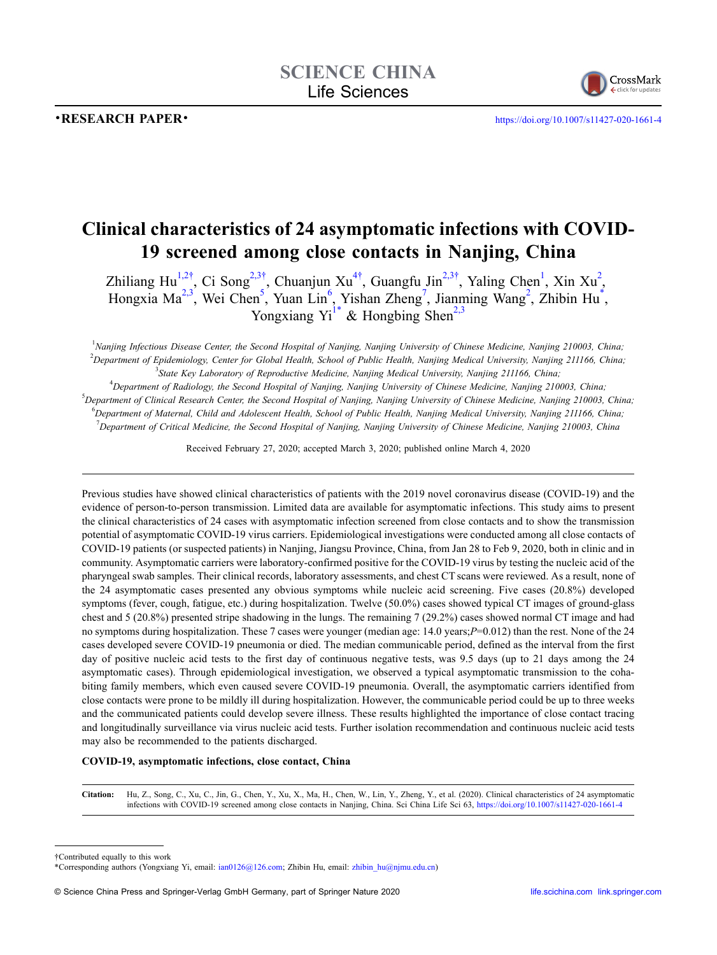•RESEARCH PAPER • <https://doi.org/10.1007/s11427-020-1661-4>



# **Clinical characteristics of 24 asymptomatic infections with COVID-19 screened among close contacts in Nanjing, China**

Zhiliang Hu<sup>[1,](#page-0-0)[2](#page-0-1)†</sup>, Ci Song<sup>[2,](#page-0-1)[3](#page-0-3)[†](#page-0-2)</sup>, Chuanjun Xu<sup>4†</sup>, Guangfu Jin<sup>2,3†</sup>, Yaling Chen<sup>[1](#page-0-0)</sup>, Xin Xu<sup>2</sup>, Hongxia Ma<sup>2,3</sup>, Wei Chen<sup>5</sup>, Yuan Lin<sup>[6](#page-0-6)</sup>, Yishan Zheng<sup>[7](#page-0-7)</sup>, Jianming Wang<sup>[2](#page-0-1)</sup>, Zhibin Hu<sup>[\\*](#page-0-8)</sup>, Yongxiang  $Yu^{1*}$  $Yu^{1*}$  $Yu^{1*}$  & Hongbing Shen<sup>[2,](#page-0-1)[3](#page-0-3)</sup>

<span id="page-0-1"></span><span id="page-0-0"></span>1 *Nanjing Infectious Disease Center, the Second Hospital of Nanjing, Nanjing University of Chinese Medicine, Nanjing 210003, China;* 2 *Department of Epidemiology, Center for Global Health, School of Public Health, Nanjing Medical University, Nanjing 211166, China;* 3 *State Key Laboratory of Reproductive Medicine, Nanjing Medical University, Nanjing 211166, China;*

<span id="page-0-7"></span><span id="page-0-6"></span><span id="page-0-5"></span><span id="page-0-4"></span><span id="page-0-3"></span> *Department of Radiology, the Second Hospital of Nanjing, Nanjing University of Chinese Medicine, Nanjing 210003, China; Department of Clinical Research Center, the Second Hospital of Nanjing, Nanjing University of Chinese Medicine, Nanjing 210003, China; Department of Maternal, Child and Adolescent Health, School of Public Health, Nanjing Medical University, Nanjing 211166, China; Department of Critical Medicine, the Second Hospital of Nanjing, Nanjing University of Chinese Medicine, Nanjing 210003, China*

Received February 27, 2020; accepted March 3, 2020; published online March 4, 2020

Previous studies have showed clinical characteristics of patients with the 2019 novel coronavirus disease (COVID-19) and the evidence of person-to-person transmission. Limited data are available for asymptomatic infections. This study aims to present the clinical characteristics of 24 cases with asymptomatic infection screened from close contacts and to show the transmission potential of asymptomatic COVID-19 virus carriers. Epidemiological investigations were conducted among all close contacts of COVID-19 patients (or suspected patients) in Nanjing, Jiangsu Province, China, from Jan 28 to Feb 9, 2020, both in clinic and in community. Asymptomatic carriers were laboratory-confirmed positive for the COVID-19 virus by testing the nucleic acid of the pharyngeal swab samples. Their clinical records, laboratory assessments, and chest CT scans were reviewed. As a result, none of the 24 asymptomatic cases presented any obvious symptoms while nucleic acid screening. Five cases (20.8%) developed symptoms (fever, cough, fatigue, etc.) during hospitalization. Twelve (50.0%) cases showed typical CT images of ground-glass chest and 5 (20.8%) presented stripe shadowing in the lungs. The remaining 7 (29.2%) cases showed normal CT image and had no symptoms during hospitalization. These 7 cases were younger (median age: 14.0 years;*P*=0.012) than the rest. None of the 24 cases developed severe COVID-19 pneumonia or died. The median communicable period, defined as the interval from the first day of positive nucleic acid tests to the first day of continuous negative tests, was 9.5 days (up to 21 days among the 24 asymptomatic cases). Through epidemiological investigation, we observed a typical asymptomatic transmission to the cohabiting family members, which even caused severe COVID-19 pneumonia. Overall, the asymptomatic carriers identified from close contacts were prone to be mildly ill during hospitalization. However, the communicable period could be up to three weeks and the communicated patients could develop severe illness. These results highlighted the importance of close contact tracing and longitudinally surveillance via virus nucleic acid tests. Further isolation recommendation and continuous nucleic acid tests may also be recommended to the patients discharged.

### **COVID-19, asymptomatic infections, close contact, China**

**Citation:** Hu, Z., Song, C., Xu, C., Jin, G., Chen, Y., Xu, X., Ma, H., Chen, W., Lin, Y., Zheng, Y., et al. (2020). Clinical characteristics of 24 asymptomatic infections with COVID-19 screened among close contacts in Nanjing, China. Sci China Life Sci 63, <https://doi.org/10.1007/s11427-020-1661-4>

<span id="page-0-2"></span>†Contributed equally to this work

<span id="page-0-8"></span><sup>\*</sup>Corresponding authors (Yongxiang Yi, email: ian0126@126.com; Zhibin Hu, email: zhibin\_hu@njmu.edu.cn)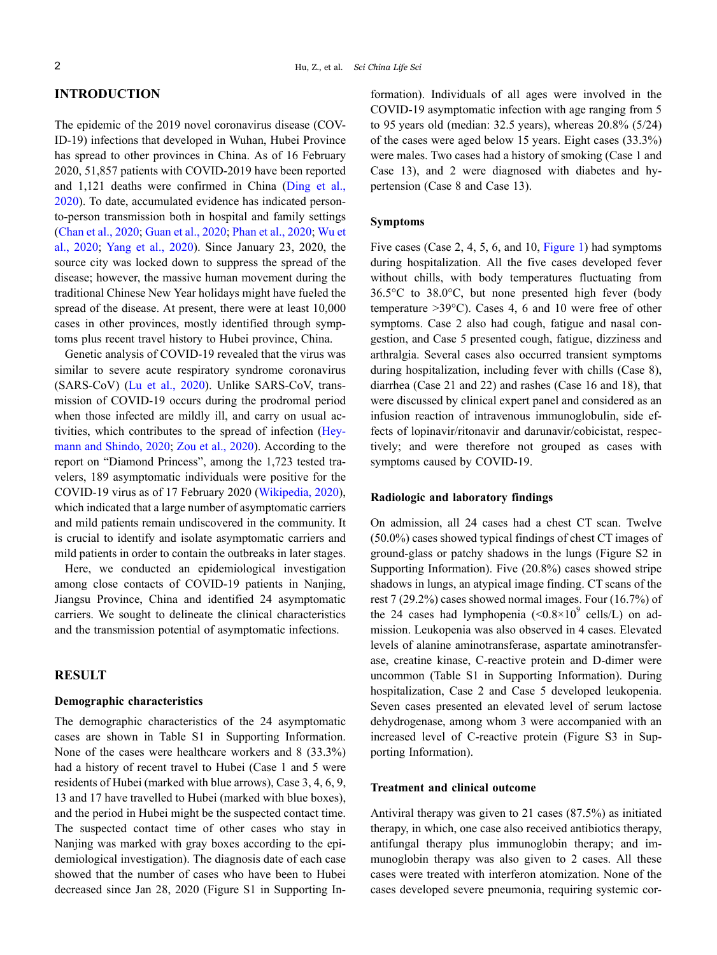# **INTRODUCTION**

The epidemic of the 2019 novel coronavirus disease (COV-ID-19) infections that developed in Wuhan, Hubei Province has spread to other provinces in China. As of 16 February 2020, 51,857 patients with COVID-2019 have been reported and 1,121 deaths were confirmed in China [\(Ding et al.,](#page-5-0) [2020](#page-5-0)). To date, accumulated evidence has indicated personto-person transmission both in hospital and family settings ([Chan et al., 2020;](#page-5-1) [Guan et al., 2020](#page-5-2); [Phan et al., 2020](#page-5-3); [Wu et](#page-5-4) [al., 2020;](#page-5-4) [Yang et al., 2020\)](#page-5-5). Since January 23, 2020, the source city was locked down to suppress the spread of the disease; however, the massive human movement during the traditional Chinese New Year holidays might have fueled the spread of the disease. At present, there were at least 10,000 cases in other provinces, mostly identified through symptoms plus recent travel history to Hubei province, China.

Genetic analysis of COVID-19 revealed that the virus was similar to severe acute respiratory syndrome coronavirus (SARS-CoV) ([Lu et al., 2020](#page-5-6)). Unlike SARS-CoV, transmission of COVID-19 occurs during the prodromal period when those infected are mildly ill, and carry on usual activities, which contributes to the spread of infection [\(Hey](#page-5-7)[mann and Shindo, 2020](#page-5-7); [Zou et al., 2020\)](#page-5-8). According to the report on "Diamond Princess", among the 1,723 tested travelers, 189 asymptomatic individuals were positive for the COVID-19 virus as of 17 February 2020 [\(Wikipedia, 2020\)](#page-5-9), which indicated that a large number of asymptomatic carriers and mild patients remain undiscovered in the community. It is crucial to identify and isolate asymptomatic carriers and mild patients in order to contain the outbreaks in later stages.

Here, we conducted an epidemiological investigation among close contacts of COVID-19 patients in Nanjing, Jiangsu Province, China and identified 24 asymptomatic carriers. We sought to delineate the clinical characteristics and the transmission potential of asymptomatic infections.

# **RESULT**

# **Demographic characteristics**

The demographic characteristics of the 24 asymptomatic cases are shown in Table S1 in Supporting Information. None of the cases were healthcare workers and 8 (33.3%) had a history of recent travel to Hubei (Case 1 and 5 were residents of Hubei (marked with blue arrows), Case 3, 4, 6, 9, 13 and 17 have travelled to Hubei (marked with blue boxes), and the period in Hubei might be the suspected contact time. The suspected contact time of other cases who stay in Nanjing was marked with gray boxes according to the epidemiological investigation). The diagnosis date of each case showed that the number of cases who have been to Hubei decreased since Jan 28, 2020 (Figure S1 in Supporting Information). Individuals of all ages were involved in the COVID-19 asymptomatic infection with age ranging from 5 to 95 years old (median: 32.5 years), whereas 20.8% (5/24) of the cases were aged below 15 years. Eight cases (33.3%) were males. Two cases had a history of smoking (Case 1 and Case 13), and 2 were diagnosed with diabetes and hypertension (Case 8 and Case 13).

# **Symptoms**

Five cases (Case 2, 4, 5, 6, and 10, [Figure 1](#page-2-0)) had symptoms during hospitalization. All the five cases developed fever without chills, with body temperatures fluctuating from 36.5°C to 38.0°C, but none presented high fever (body temperature >39°C). Cases 4, 6 and 10 were free of other symptoms. Case 2 also had cough, fatigue and nasal congestion, and Case 5 presented cough, fatigue, dizziness and arthralgia. Several cases also occurred transient symptoms during hospitalization, including fever with chills (Case 8), diarrhea (Case 21 and 22) and rashes (Case 16 and 18), that were discussed by clinical expert panel and considered as an infusion reaction of intravenous immunoglobulin, side effects of lopinavir/ritonavir and darunavir/cobicistat, respectively; and were therefore not grouped as cases with symptoms caused by COVID-19.

### **Radiologic and laboratory findings**

On admission, all 24 cases had a chest CT scan. Twelve (50.0%) cases showed typical findings of chest CT images of ground-glass or patchy shadows in the lungs (Figure S2 in Supporting Information). Five (20.8%) cases showed stripe shadows in lungs, an atypical image finding. CT scans of the rest 7 (29.2%) cases showed normal images. Four (16.7%) of the 24 cases had lymphopenia  $(<0.8\times10^9$  cells/L) on admission. Leukopenia was also observed in 4 cases. Elevated levels of alanine aminotransferase, aspartate aminotransferase, creatine kinase, C-reactive protein and D-dimer were uncommon (Table S1 in Supporting Information). During hospitalization, Case 2 and Case 5 developed leukopenia. Seven cases presented an elevated level of serum lactose dehydrogenase, among whom 3 were accompanied with an increased level of C-reactive protein (Figure S3 in Supporting Information).

## **Treatment and clinical outcome**

Antiviral therapy was given to 21 cases (87.5%) as initiated therapy, in which, one case also received antibiotics therapy, antifungal therapy plus immunoglobin therapy; and immunoglobin therapy was also given to 2 cases. All these cases were treated with interferon atomization. None of the cases developed severe pneumonia, requiring systemic cor-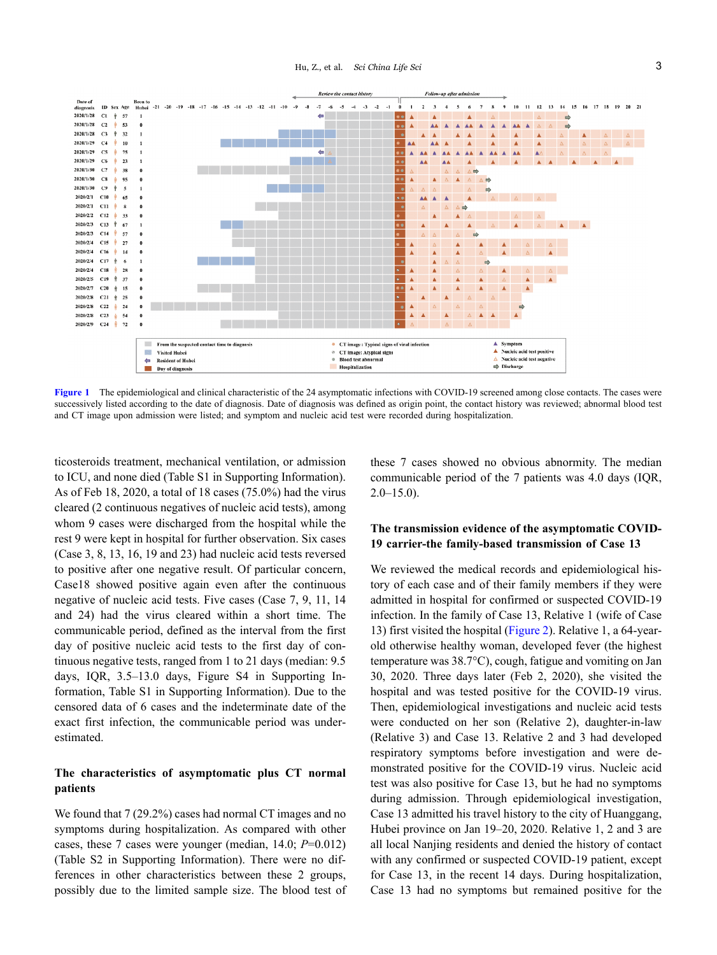

<span id="page-2-0"></span>[Figure 1](#page-2-0) The epidemiological and clinical characteristic of the 24 asymptomatic infections with COVID-19 screened among close contacts. The cases were successively listed according to the date of diagnosis. Date of diagnosis was defined as origin point, the contact history was reviewed; abnormal blood test and CT image upon admission were listed; and symptom and nucleic acid test were recorded during hospitalization.

ticosteroids treatment, mechanical ventilation, or admission to ICU, and none died (Table S1 in Supporting Information). As of Feb 18, 2020, a total of 18 cases (75.0%) had the virus cleared (2 continuous negatives of nucleic acid tests), among whom 9 cases were discharged from the hospital while the rest 9 were kept in hospital for further observation. Six cases (Case 3, 8, 13, 16, 19 and 23) had nucleic acid tests reversed to positive after one negative result. Of particular concern, Case18 showed positive again even after the continuous negative of nucleic acid tests. Five cases (Case 7, 9, 11, 14 and 24) had the virus cleared within a short time. The communicable period, defined as the interval from the first day of positive nucleic acid tests to the first day of continuous negative tests, ranged from 1 to 21 days (median: 9.5 days, IQR, 3.5–13.0 days, Figure S4 in Supporting Information, Table S1 in Supporting Information). Due to the censored data of 6 cases and the indeterminate date of the exact first infection, the communicable period was underestimated.

# **The characteristics of asymptomatic plus CT normal patients**

We found that 7 (29.2%) cases had normal CT images and no symptoms during hospitalization. As compared with other cases, these 7 cases were younger (median, 14.0; *P*=0.012) (Table S2 in Supporting Information). There were no differences in other characteristics between these 2 groups, possibly due to the limited sample size. The blood test of these 7 cases showed no obvious abnormity. The median communicable period of the 7 patients was 4.0 days (IQR,  $2.0 - 15.0$ ).

# **The transmission evidence of the asymptomatic COVID-19 carrier-the family-based transmission of Case 13**

We reviewed the medical records and epidemiological history of each case and of their family members if they were admitted in hospital for confirmed or suspected COVID-19 infection. In the family of Case 13, Relative 1 (wife of Case 13) first visited the hospital ([Figure 2\)](#page-4-0). Relative 1, a 64-yearold otherwise healthy woman, developed fever (the highest temperature was 38.7°C), cough, fatigue and vomiting on Jan 30, 2020. Three days later (Feb 2, 2020), she visited the hospital and was tested positive for the COVID-19 virus. Then, epidemiological investigations and nucleic acid tests were conducted on her son (Relative 2), daughter-in-law (Relative 3) and Case 13. Relative 2 and 3 had developed respiratory symptoms before investigation and were demonstrated positive for the COVID-19 virus. Nucleic acid test was also positive for Case 13, but he had no symptoms during admission. Through epidemiological investigation, Case 13 admitted his travel history to the city of Huanggang, Hubei province on Jan 19–20, 2020. Relative 1, 2 and 3 are all local Nanjing residents and denied the history of contact with any confirmed or suspected COVID-19 patient, except for Case 13, in the recent 14 days. During hospitalization, Case 13 had no symptoms but remained positive for the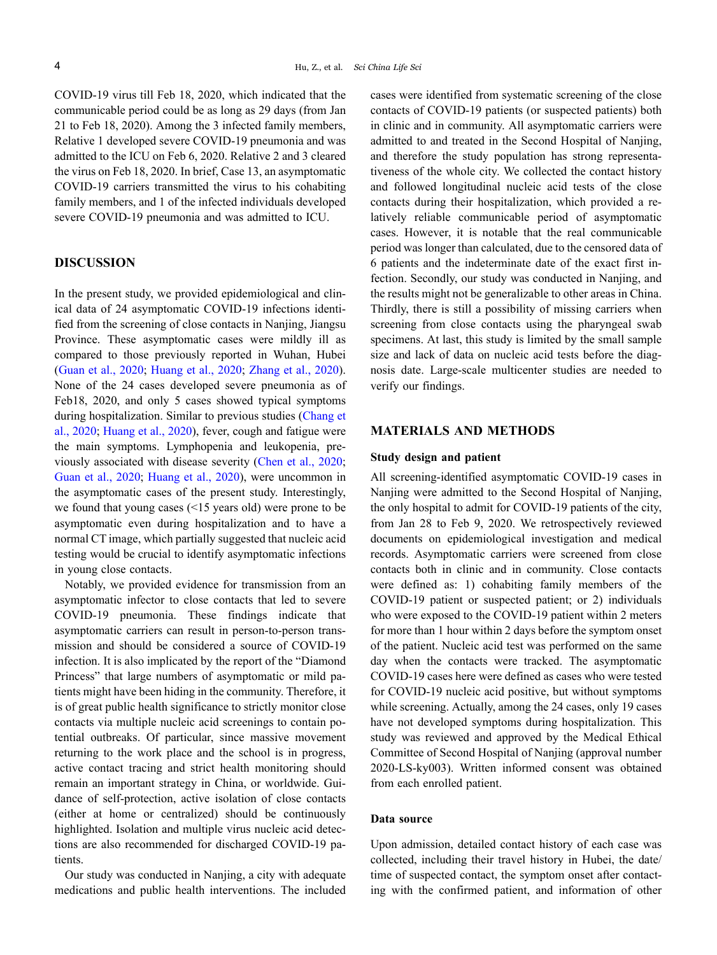COVID-19 virus till Feb 18, 2020, which indicated that the communicable period could be as long as 29 days (from Jan 21 to Feb 18, 2020). Among the 3 infected family members, Relative 1 developed severe COVID-19 pneumonia and was admitted to the ICU on Feb 6, 2020. Relative 2 and 3 cleared the virus on Feb 18, 2020. In brief, Case 13, an asymptomatic COVID-19 carriers transmitted the virus to his cohabiting family members, and 1 of the infected individuals developed severe COVID-19 pneumonia and was admitted to ICU.

# **DISCUSSION**

In the present study, we provided epidemiological and clinical data of 24 asymptomatic COVID-19 infections identified from the screening of close contacts in Nanjing, Jiangsu Province. These asymptomatic cases were mildly ill as compared to those previously reported in Wuhan, Hubei ([Guan et al., 2020](#page-5-2); [Huang et al., 2020](#page-5-10); [Zhang et al., 2020\)](#page-5-11). None of the 24 cases developed severe pneumonia as of Feb18, 2020, and only 5 cases showed typical symptoms during hospitalization. Similar to previous studies [\(Chang et](#page-5-12) [al., 2020](#page-5-12); [Huang et al., 2020\)](#page-5-10), fever, cough and fatigue were the main symptoms. Lymphopenia and leukopenia, previously associated with disease severity [\(Chen et al., 2020;](#page-5-13) [Guan et al., 2020;](#page-5-2) [Huang et al., 2020](#page-5-10)), were uncommon in the asymptomatic cases of the present study. Interestingly, we found that young cases (<15 years old) were prone to be asymptomatic even during hospitalization and to have a normal CT image, which partially suggested that nucleic acid testing would be crucial to identify asymptomatic infections in young close contacts.

Notably, we provided evidence for transmission from an asymptomatic infector to close contacts that led to severe COVID-19 pneumonia. These findings indicate that asymptomatic carriers can result in person-to-person transmission and should be considered a source of COVID-19 infection. It is also implicated by the report of the "Diamond Princess" that large numbers of asymptomatic or mild patients might have been hiding in the community. Therefore, it is of great public health significance to strictly monitor close contacts via multiple nucleic acid screenings to contain potential outbreaks. Of particular, since massive movement returning to the work place and the school is in progress, active contact tracing and strict health monitoring should remain an important strategy in China, or worldwide. Guidance of self-protection, active isolation of close contacts (either at home or centralized) should be continuously highlighted. Isolation and multiple virus nucleic acid detections are also recommended for discharged COVID-19 patients.

Our study was conducted in Nanjing, a city with adequate medications and public health interventions. The included cases were identified from systematic screening of the close contacts of COVID-19 patients (or suspected patients) both in clinic and in community. All asymptomatic carriers were admitted to and treated in the Second Hospital of Nanjing, and therefore the study population has strong representativeness of the whole city. We collected the contact history and followed longitudinal nucleic acid tests of the close contacts during their hospitalization, which provided a relatively reliable communicable period of asymptomatic cases. However, it is notable that the real communicable period was longer than calculated, due to the censored data of 6 patients and the indeterminate date of the exact first infection. Secondly, our study was conducted in Nanjing, and the results might not be generalizable to other areas in China. Thirdly, there is still a possibility of missing carriers when screening from close contacts using the pharyngeal swab specimens. At last, this study is limited by the small sample size and lack of data on nucleic acid tests before the diagnosis date. Large-scale multicenter studies are needed to verify our findings.

# **MATERIALS AND METHODS**

#### **Study design and patient**

All screening-identified asymptomatic COVID-19 cases in Nanjing were admitted to the Second Hospital of Nanjing, the only hospital to admit for COVID-19 patients of the city, from Jan 28 to Feb 9, 2020. We retrospectively reviewed documents on epidemiological investigation and medical records. Asymptomatic carriers were screened from close contacts both in clinic and in community. Close contacts were defined as: 1) cohabiting family members of the COVID-19 patient or suspected patient; or 2) individuals who were exposed to the COVID-19 patient within 2 meters for more than 1 hour within 2 days before the symptom onset of the patient. Nucleic acid test was performed on the same day when the contacts were tracked. The asymptomatic COVID-19 cases here were defined as cases who were tested for COVID-19 nucleic acid positive, but without symptoms while screening. Actually, among the 24 cases, only 19 cases have not developed symptoms during hospitalization. This study was reviewed and approved by the Medical Ethical Committee of Second Hospital of Nanjing (approval number 2020-LS-ky003). Written informed consent was obtained from each enrolled patient.

# **Data source**

Upon admission, detailed contact history of each case was collected, including their travel history in Hubei, the date/ time of suspected contact, the symptom onset after contacting with the confirmed patient, and information of other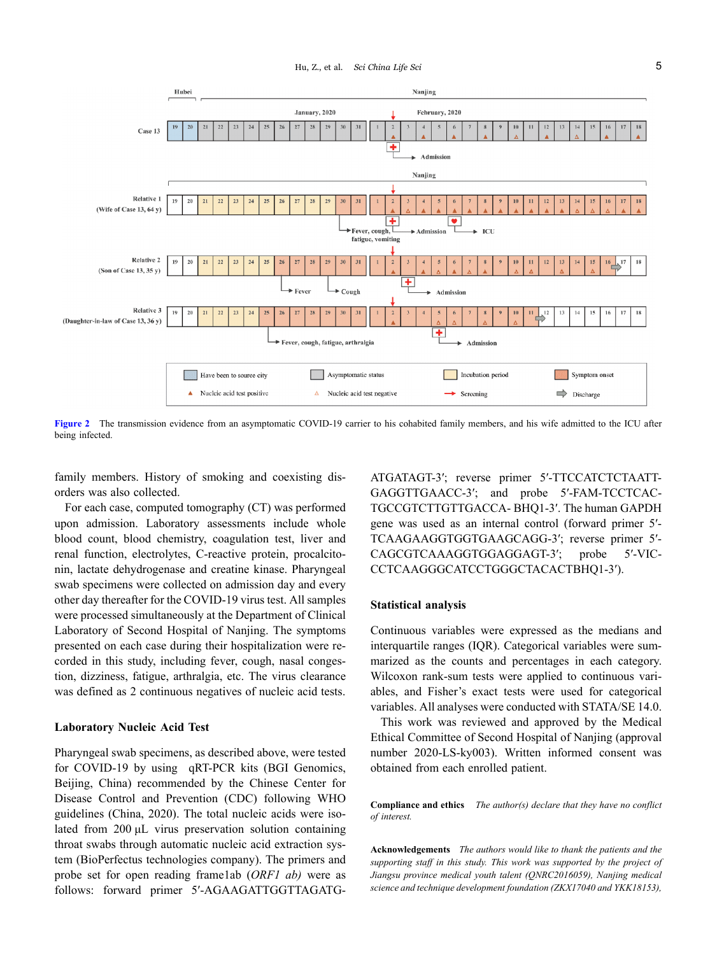

<span id="page-4-0"></span>**[Figure 2](#page-4-0)** The transmission evidence from an asymptomatic COVID-19 carrier to his cohabited family members, and his wife admitted to the ICU after being infected.

family members. History of smoking and coexisting disorders was also collected.

For each case, computed tomography (CT) was performed upon admission. Laboratory assessments include whole blood count, blood chemistry, coagulation test, liver and renal function, electrolytes, C-reactive protein, procalcitonin, lactate dehydrogenase and creatine kinase. Pharyngeal swab specimens were collected on admission day and every other day thereafter for the COVID-19 virus test. All samples were processed simultaneously at the Department of Clinical Laboratory of Second Hospital of Nanjing. The symptoms presented on each case during their hospitalization were recorded in this study, including fever, cough, nasal congestion, dizziness, fatigue, arthralgia, etc. The virus clearance was defined as 2 continuous negatives of nucleic acid tests.

#### **Laboratory Nucleic Acid Test**

Pharyngeal swab specimens, as described above, were tested for COVID-19 by using qRT-PCR kits (BGI Genomics, Beijing, China) recommended by the Chinese Center for Disease Control and Prevention (CDC) following WHO guidelines (China, 2020). The total nucleic acids were isolated from 200 μL virus preservation solution containing throat swabs through automatic nucleic acid extraction system (BioPerfectus technologies company). The primers and probe set for open reading frame1ab (*ORF1 ab)* were as follows: forward primer 5′-AGAAGATTGGTTAGATG-

ATGATAGT-3′; reverse primer 5′-TTCCATCTCTAATT-GAGGTTGAACC-3′; and probe 5′-FAM-TCCTCAC-TGCCGTCTTGTTGACCA- BHQ1-3′. The human GAPDH gene was used as an internal control (forward primer 5′- TCAAGAAGGTGGTGAAGCAGG-3′; reverse primer 5′- CAGCGTCAAAGGTGGAGGAGT-3′; probe 5′-VIC-CCTCAAGGGCATCCTGGGCTACACTBHQ1-3′).

### **Statistical analysis**

Continuous variables were expressed as the medians and interquartile ranges (IQR). Categorical variables were summarized as the counts and percentages in each category. Wilcoxon rank-sum tests were applied to continuous variables, and Fisher's exact tests were used for categorical variables. All analyses were conducted with STATA/SE 14.0.

This work was reviewed and approved by the Medical Ethical Committee of Second Hospital of Nanjing (approval number 2020-LS-ky003). Written informed consent was obtained from each enrolled patient.

**Compliance and ethics** *The author(s) declare that they have no conflict of interest.*

**Acknowledgements** *The authors would like to thank the patients and the supporting staff in this study. This work was supported by the project of Jiangsu province medical youth talent (QNRC2016059), Nanjing medical science and technique development foundation (ZKX17040 and YKK18153),*